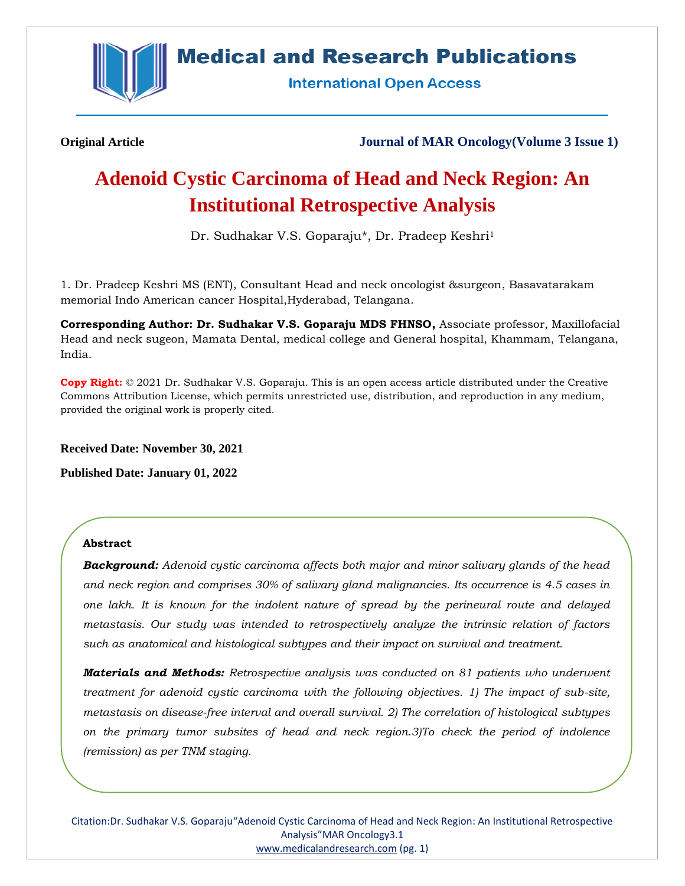

## **Medical and Research Publications**

**International Open Access** 

**Original Article Journal of MAR Oncology(Volume 3 Issue 1)**

# **Adenoid Cystic Carcinoma of Head and Neck Region: An Institutional Retrospective Analysis**

Dr. Sudhakar V.S. Goparaju\*, Dr. Pradeep Keshri<sup>1</sup>

1. Dr. Pradeep Keshri MS (ENT), Consultant Head and neck oncologist &surgeon, Basavatarakam memorial Indo American cancer Hospital,Hyderabad, Telangana.

**Corresponding Author: Dr. Sudhakar V.S. Goparaju MDS FHNSO,** Associate professor, Maxillofacial Head and neck sugeon, Mamata Dental, medical college and General hospital, Khammam, Telangana, India.

**Copy Right:** © 2021 Dr. Sudhakar V.S. Goparaju. This is an open access article distributed under the Creative Commons Attribution License, which permits unrestricted use, distribution, and reproduction in any medium, provided the original work is properly cited.

**Received Date: November 30, 2021**

**Published Date: January 01, 2022**

#### **Abstract**

*Background: Adenoid cystic carcinoma affects both major and minor salivary glands of the head and neck region and comprises 30% of salivary gland malignancies. Its occurrence is 4.5 cases in one lakh. It is known for the indolent nature of spread by the perineural route and delayed metastasis. Our study was intended to retrospectively analyze the intrinsic relation of factors such as anatomical and histological subtypes and their impact on survival and treatment.*

*Materials and Methods: Retrospective analysis was conducted on 81 patients who underwent treatment for adenoid cystic carcinoma with the following objectives. 1) The impact of sub-site, metastasis on disease-free interval and overall survival. 2) The correlation of histological subtypes on the primary tumor subsites of head and neck region.3)To check the period of indolence (remission) as per TNM staging.*

Citation:Dr. Sudhakar V.S. Goparaju"Adenoid Cystic Carcinoma of Head and Neck Region: An Institutional Retrospective Analysis"MAR Oncology3.1 [www.medicalandresearch.com](http://www.medicalandresearch.com/) (pg. 1)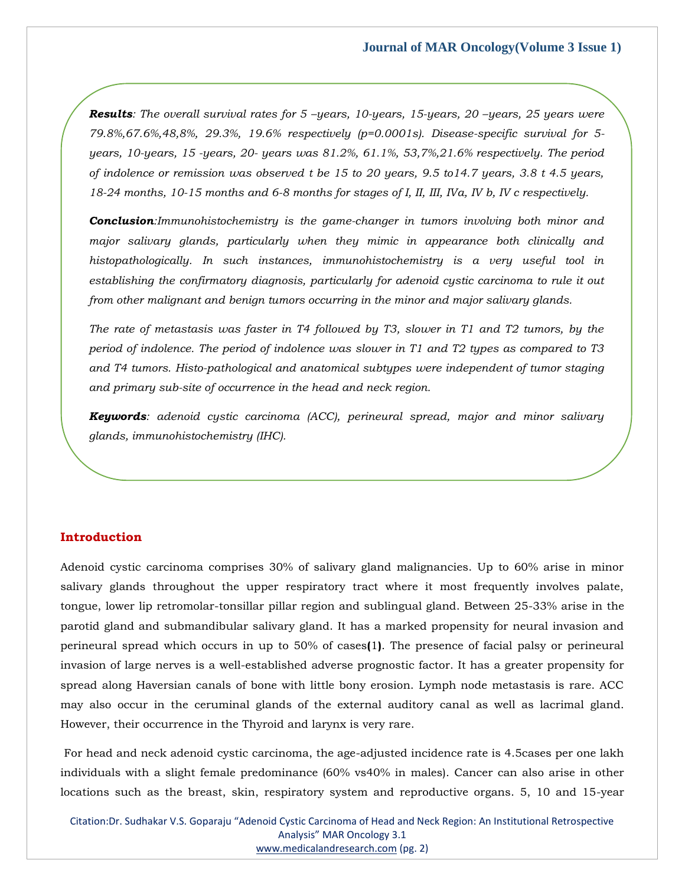*Results: The overall survival rates for 5 –years, 10-years, 15-years, 20 –years, 25 years were 79.8%,67.6%,48,8%, 29.3%, 19.6% respectively (p=0.0001s). Disease-specific survival for 5 years, 10-years, 15 -years, 20- years was 81.2%, 61.1%, 53,7%,21.6% respectively. The period of indolence or remission was observed t be 15 to 20 years, 9.5 to14.7 years, 3.8 t 4.5 years, 18-24 months, 10-15 months and 6-8 months for stages of I, II, III, IVa, IV b, IV c respectively.* 

*Conclusion:Immunohistochemistry is the game-changer in tumors involving both minor and major salivary glands, particularly when they mimic in appearance both clinically and histopathologically. In such instances, immunohistochemistry is a very useful tool in establishing the confirmatory diagnosis, particularly for adenoid cystic carcinoma to rule it out from other malignant and benign tumors occurring in the minor and major salivary glands.*

*The rate of metastasis was faster in T4 followed by T3, slower in T1 and T2 tumors, by the period of indolence. The period of indolence was slower in T1 and T2 types as compared to T3 and T4 tumors. Histo-pathological and anatomical subtypes were independent of tumor staging and primary sub-site of occurrence in the head and neck region.* 

*Keywords: adenoid cystic carcinoma (ACC), perineural spread, major and minor salivary glands, immunohistochemistry (IHC).*

#### **Introduction**

Adenoid cystic carcinoma comprises 30% of salivary gland malignancies. Up to 60% arise in minor salivary glands throughout the upper respiratory tract where it most frequently involves palate, tongue, lower lip retromolar-tonsillar pillar region and sublingual gland. Between 25-33% arise in the parotid gland and submandibular salivary gland. It has a marked propensity for neural invasion and perineural spread which occurs in up to 50% of cases**(**1**)**. The presence of facial palsy or perineural invasion of large nerves is a well-established adverse prognostic factor. It has a greater propensity for spread along Haversian canals of bone with little bony erosion. Lymph node metastasis is rare. ACC may also occur in the ceruminal glands of the external auditory canal as well as lacrimal gland. However, their occurrence in the Thyroid and larynx is very rare.

For head and neck adenoid cystic carcinoma, the age-adjusted incidence rate is 4.5cases per one lakh individuals with a slight female predominance (60% vs40% in males). Cancer can also arise in other locations such as the breast, skin, respiratory system and reproductive organs. 5, 10 and 15-year

Citation:Dr. Sudhakar V.S. Goparaju "Adenoid Cystic Carcinoma of Head and Neck Region: An Institutional Retrospective Analysis" MAR Oncology 3.1 [www.medicalandresearch.com](http://www.medicalandresearch.com/) (pg. 2)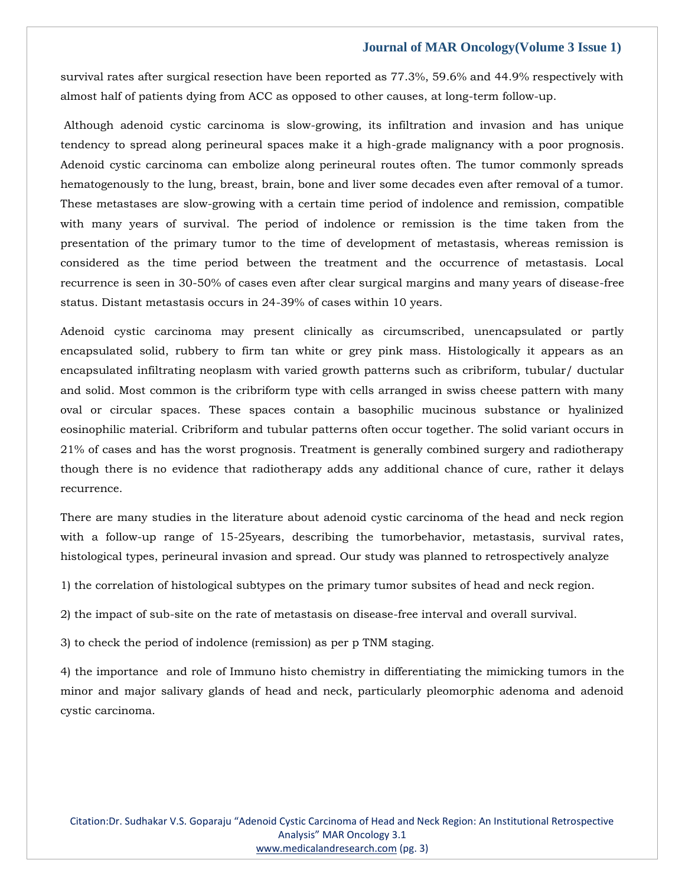survival rates after surgical resection have been reported as 77.3%, 59.6% and 44.9% respectively with almost half of patients dying from ACC as opposed to other causes, at long-term follow-up.

Although adenoid cystic carcinoma is slow-growing, its infiltration and invasion and has unique tendency to spread along perineural spaces make it a high-grade malignancy with a poor prognosis. Adenoid cystic carcinoma can embolize along perineural routes often. The tumor commonly spreads hematogenously to the lung, breast, brain, bone and liver some decades even after removal of a tumor. These metastases are slow-growing with a certain time period of indolence and remission, compatible with many years of survival. The period of indolence or remission is the time taken from the presentation of the primary tumor to the time of development of metastasis, whereas remission is considered as the time period between the treatment and the occurrence of metastasis. Local recurrence is seen in 30-50% of cases even after clear surgical margins and many years of disease-free status. Distant metastasis occurs in 24-39% of cases within 10 years.

Adenoid cystic carcinoma may present clinically as circumscribed, unencapsulated or partly encapsulated solid, rubbery to firm tan white or grey pink mass. Histologically it appears as an encapsulated infiltrating neoplasm with varied growth patterns such as cribriform, tubular/ ductular and solid. Most common is the cribriform type with cells arranged in swiss cheese pattern with many oval or circular spaces. These spaces contain a basophilic mucinous substance or hyalinized eosinophilic material. Cribriform and tubular patterns often occur together. The solid variant occurs in 21% of cases and has the worst prognosis. Treatment is generally combined surgery and radiotherapy though there is no evidence that radiotherapy adds any additional chance of cure, rather it delays recurrence.

There are many studies in the literature about adenoid cystic carcinoma of the head and neck region with a follow-up range of 15-25years, describing the tumorbehavior, metastasis, survival rates, histological types, perineural invasion and spread. Our study was planned to retrospectively analyze

1) the correlation of histological subtypes on the primary tumor subsites of head and neck region.

2) the impact of sub-site on the rate of metastasis on disease-free interval and overall survival.

3) to check the period of indolence (remission) as per p TNM staging.

4) the importance and role of Immuno histo chemistry in differentiating the mimicking tumors in the minor and major salivary glands of head and neck, particularly pleomorphic adenoma and adenoid cystic carcinoma.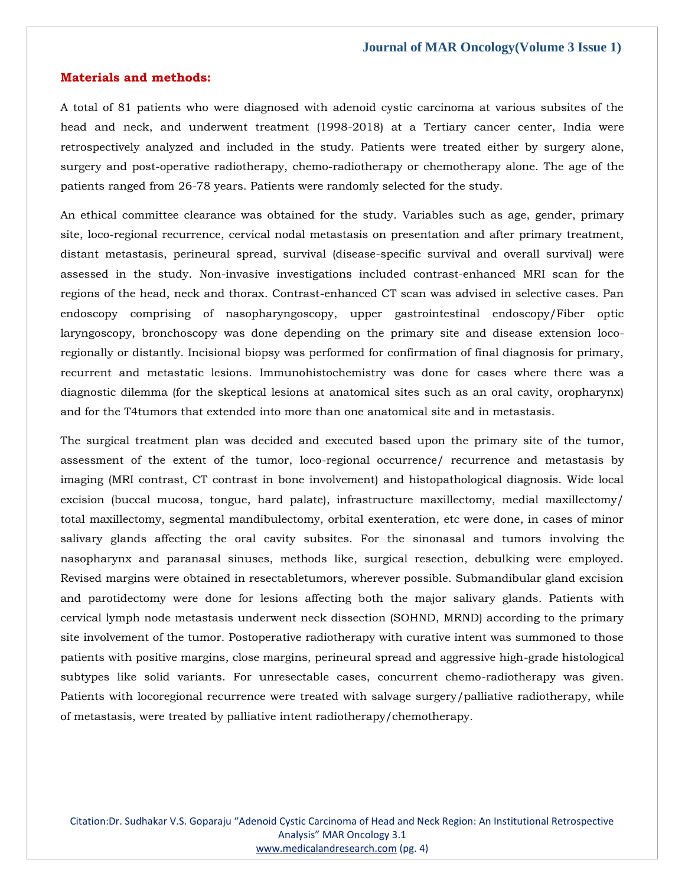#### **Materials and methods:**

A total of 81 patients who were diagnosed with adenoid cystic carcinoma at various subsites of the head and neck, and underwent treatment (1998-2018) at a Tertiary cancer center, India were retrospectively analyzed and included in the study. Patients were treated either by surgery alone, surgery and post-operative radiotherapy, chemo-radiotherapy or chemotherapy alone. The age of the patients ranged from 26-78 years. Patients were randomly selected for the study.

An ethical committee clearance was obtained for the study. Variables such as age, gender, primary site, loco-regional recurrence, cervical nodal metastasis on presentation and after primary treatment, distant metastasis, perineural spread, survival (disease-specific survival and overall survival) were assessed in the study. Non-invasive investigations included contrast-enhanced MRI scan for the regions of the head, neck and thorax. Contrast-enhanced CT scan was advised in selective cases. Pan endoscopy comprising of nasopharyngoscopy, upper gastrointestinal endoscopy/Fiber optic laryngoscopy, bronchoscopy was done depending on the primary site and disease extension locoregionally or distantly. Incisional biopsy was performed for confirmation of final diagnosis for primary, recurrent and metastatic lesions. Immunohistochemistry was done for cases where there was a diagnostic dilemma (for the skeptical lesions at anatomical sites such as an oral cavity, oropharynx) and for the T4tumors that extended into more than one anatomical site and in metastasis.

The surgical treatment plan was decided and executed based upon the primary site of the tumor, assessment of the extent of the tumor, loco-regional occurrence/ recurrence and metastasis by imaging (MRI contrast, CT contrast in bone involvement) and histopathological diagnosis. Wide local excision (buccal mucosa, tongue, hard palate), infrastructure maxillectomy, medial maxillectomy/ total maxillectomy, segmental mandibulectomy, orbital exenteration, etc were done, in cases of minor salivary glands affecting the oral cavity subsites. For the sinonasal and tumors involving the nasopharynx and paranasal sinuses, methods like, surgical resection, debulking were employed. Revised margins were obtained in resectabletumors, wherever possible. Submandibular gland excision and parotidectomy were done for lesions affecting both the major salivary glands. Patients with cervical lymph node metastasis underwent neck dissection (SOHND, MRND) according to the primary site involvement of the tumor. Postoperative radiotherapy with curative intent was summoned to those patients with positive margins, close margins, perineural spread and aggressive high-grade histological subtypes like solid variants. For unresectable cases, concurrent chemo-radiotherapy was given. Patients with locoregional recurrence were treated with salvage surgery/palliative radiotherapy, while of metastasis, were treated by palliative intent radiotherapy/chemotherapy.

Citation:Dr. Sudhakar V.S. Goparaju "Adenoid Cystic Carcinoma of Head and Neck Region: An Institutional Retrospective Analysis" MAR Oncology 3.1 [www.medicalandresearch.com](http://www.medicalandresearch.com/) (pg. 4)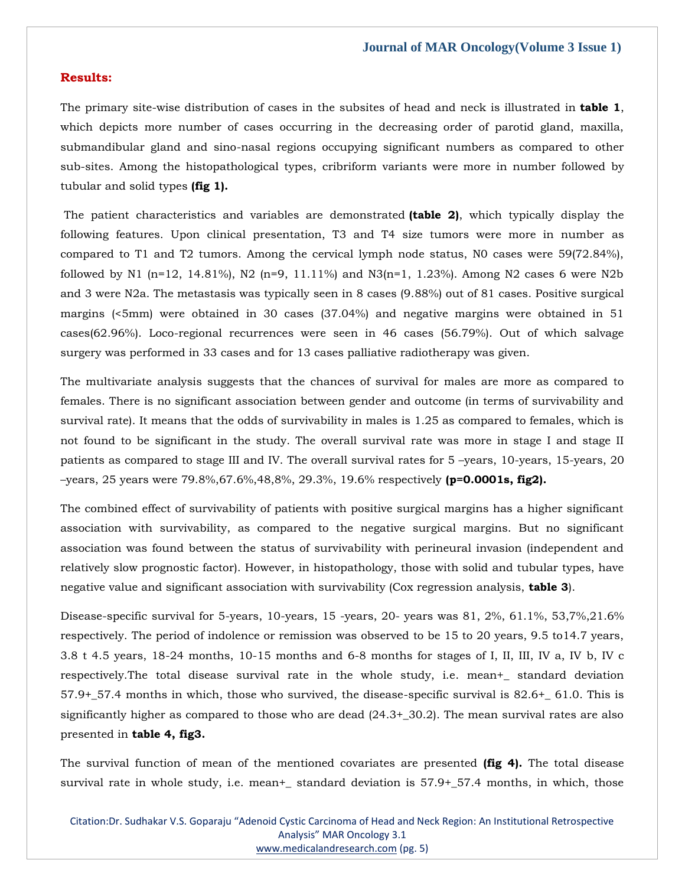#### **Results:**

The primary site-wise distribution of cases in the subsites of head and neck is illustrated in **table 1**, which depicts more number of cases occurring in the decreasing order of parotid gland, maxilla, submandibular gland and sino-nasal regions occupying significant numbers as compared to other sub-sites. Among the histopathological types, cribriform variants were more in number followed by tubular and solid types **(fig 1).**

The patient characteristics and variables are demonstrated **(table 2)**, which typically display the following features. Upon clinical presentation, T3 and T4 size tumors were more in number as compared to T1 and T2 tumors. Among the cervical lymph node status, N0 cases were 59(72.84%), followed by N1 (n=12, 14.81%), N2 (n=9, 11.11%) and N3(n=1, 1.23%). Among N2 cases 6 were N2b and 3 were N2a. The metastasis was typically seen in 8 cases (9.88%) out of 81 cases. Positive surgical margins (<5mm) were obtained in 30 cases (37.04%) and negative margins were obtained in 51 cases(62.96%). Loco-regional recurrences were seen in 46 cases (56.79%). Out of which salvage surgery was performed in 33 cases and for 13 cases palliative radiotherapy was given.

The multivariate analysis suggests that the chances of survival for males are more as compared to females. There is no significant association between gender and outcome (in terms of survivability and survival rate). It means that the odds of survivability in males is 1.25 as compared to females, which is not found to be significant in the study. The overall survival rate was more in stage I and stage II patients as compared to stage III and IV. The overall survival rates for 5 –years, 10-years, 15-years, 20 –years, 25 years were 79.8%,67.6%,48,8%, 29.3%, 19.6% respectively **(p=0.0001s, fig2).**

The combined effect of survivability of patients with positive surgical margins has a higher significant association with survivability, as compared to the negative surgical margins. But no significant association was found between the status of survivability with perineural invasion (independent and relatively slow prognostic factor). However, in histopathology, those with solid and tubular types, have negative value and significant association with survivability (Cox regression analysis, **table 3**).

Disease-specific survival for 5-years, 10-years, 15 -years, 20- years was 81, 2%, 61.1%, 53,7%,21.6% respectively. The period of indolence or remission was observed to be 15 to 20 years, 9.5 to14.7 years, 3.8 t 4.5 years, 18-24 months, 10-15 months and 6-8 months for stages of I, II, III, IV a, IV b, IV c respectively.The total disease survival rate in the whole study, i.e. mean+\_ standard deviation 57.9+\_57.4 months in which, those who survived, the disease-specific survival is 82.6+\_ 61.0. This is significantly higher as compared to those who are dead (24.3+\_30.2). The mean survival rates are also presented in **table 4, fig3.**

The survival function of mean of the mentioned covariates are presented **(fig 4).** The total disease survival rate in whole study, i.e. mean+ standard deviation is  $57.9+57.4$  months, in which, those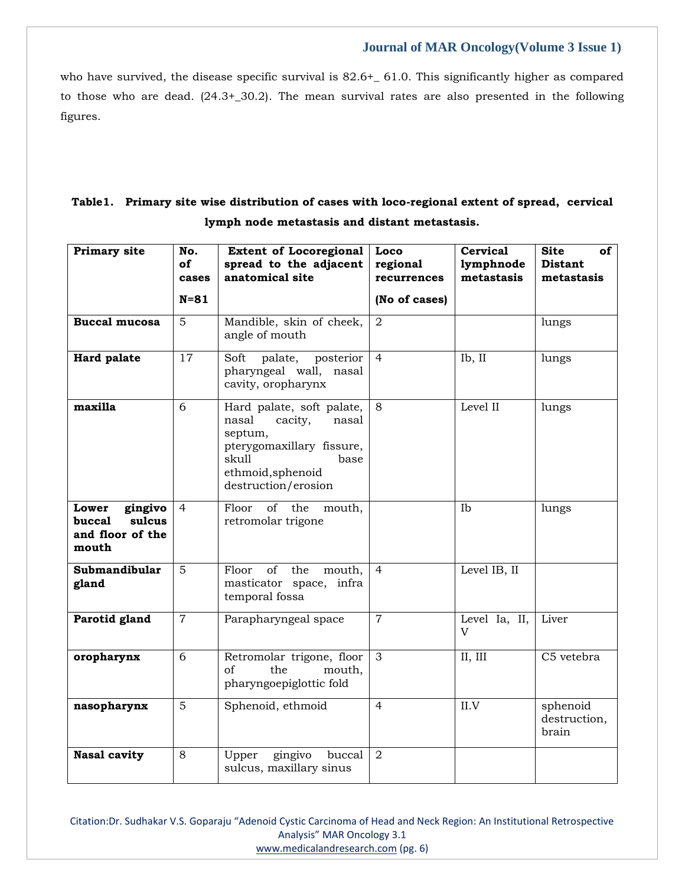who have survived, the disease specific survival is 82.6+\_ 61.0. This significantly higher as compared to those who are dead. (24.3+\_30.2). The mean survival rates are also presented in the following figures.

| Table1. Primary site wise distribution of cases with loco-regional extent of spread, cervical |  |
|-----------------------------------------------------------------------------------------------|--|
| lymph node metastasis and distant metastasis.                                                 |  |

| Primary site                                                                        | No.<br>of<br>cases | <b>Extent of Locoregional</b><br>spread to the adjacent<br>anatomical site                                                                                  | Loco<br>regional<br>recurrences | Cervical<br>lymphnode<br>metastasis | <b>Site</b><br>of<br><b>Distant</b><br>metastasis |
|-------------------------------------------------------------------------------------|--------------------|-------------------------------------------------------------------------------------------------------------------------------------------------------------|---------------------------------|-------------------------------------|---------------------------------------------------|
|                                                                                     | $N = 81$           |                                                                                                                                                             | (No of cases)                   |                                     |                                                   |
| <b>Buccal mucosa</b>                                                                | 5                  | Mandible, skin of cheek,<br>angle of mouth                                                                                                                  | $\overline{2}$                  |                                     | lungs                                             |
| Hard palate                                                                         | 17                 | palate, posterior<br>$\overline{4}$<br>Soft<br>pharyngeal wall, nasal<br>cavity, oropharynx                                                                 |                                 | Ib, II                              | lungs                                             |
| 6<br>maxilla                                                                        |                    | Hard palate, soft palate,<br>nasal<br>cacity,<br>nasal<br>septum,<br>pterygomaxillary fissure,<br>skull<br>base<br>ethmoid, sphenoid<br>destruction/erosion | 8                               | Level II                            | lungs                                             |
| Lower<br>gingivo<br>$\overline{4}$<br>sulcus<br>buccal<br>and floor of the<br>mouth |                    | Floor<br>of<br>the<br>mouth,<br>retromolar trigone                                                                                                          |                                 | <b>Ib</b>                           | lungs                                             |
| <b>Submandibular</b><br>5<br>gland                                                  |                    | Floor<br>of the<br>mouth,<br>masticator space, infra<br>temporal fossa                                                                                      | $\overline{4}$                  | Level IB, II                        |                                                   |
| $\overline{7}$<br>Parotid gland                                                     |                    | Parapharyngeal space                                                                                                                                        | $\overline{7}$                  | Level Ia, II,<br>V                  | Liver                                             |
| 6<br>oropharynx                                                                     |                    | Retromolar trigone, floor<br>the<br>of<br>mouth,<br>pharyngoepiglottic fold                                                                                 | 3                               | II, III                             | C5 vetebra                                        |
| $\overline{5}$<br>nasopharynx                                                       |                    | Sphenoid, ethmoid                                                                                                                                           | $\overline{4}$                  | II.V                                | sphenoid<br>destruction,<br>brain                 |
| <b>Nasal cavity</b><br>8                                                            |                    | Upper<br>gingivo<br>buccal<br>sulcus, maxillary sinus                                                                                                       | $\overline{2}$                  |                                     |                                                   |

Citation:Dr. Sudhakar V.S. Goparaju "Adenoid Cystic Carcinoma of Head and Neck Region: An Institutional Retrospective Analysis" MAR Oncology 3.1 [www.medicalandresearch.com](http://www.medicalandresearch.com/) (pg. 6)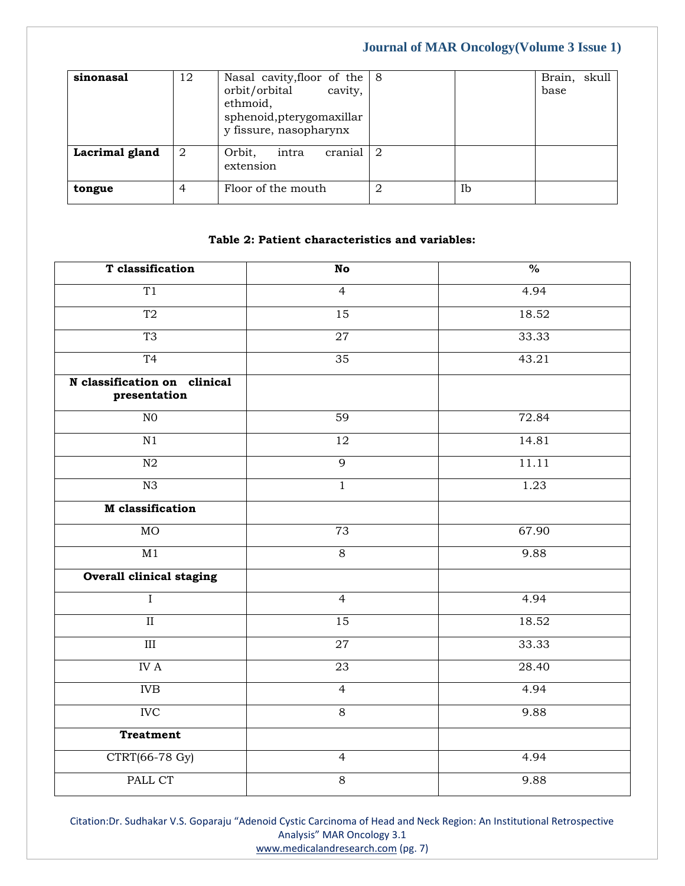| sinonasal      | 12 | Nasal cavity, floor of the $ 8$<br>orbit/orbital cavity,<br>ethmoid,<br>sphenoid, pterygomaxillar<br>y fissure, nasopharynx |                |    | Brain, skull<br>base |
|----------------|----|-----------------------------------------------------------------------------------------------------------------------------|----------------|----|----------------------|
| Lacrimal gland | 2  | cranial<br>Orbit,<br>intra<br>extension                                                                                     | $\overline{2}$ |    |                      |
| tongue         | 4  | Floor of the mouth                                                                                                          | 2              | Ib |                      |

#### **Table 2: Patient characteristics and variables:**

| T classification                             | $\mathbf N\mathbf o$ | $\frac{1}{2}$ |
|----------------------------------------------|----------------------|---------------|
| T1                                           | $\overline{4}$       | 4.94          |
| $\overline{T2}$                              | 15                   | 18.52         |
| T <sub>3</sub>                               | 27                   | 33.33         |
| T <sub>4</sub>                               | $\overline{35}$      | 43.21         |
| N classification on clinical<br>presentation |                      |               |
| ${\rm N0}$                                   | 59                   | 72.84         |
| N1                                           | 12                   | 14.81         |
| N2                                           | $\overline{9}$       | 11.11         |
| N3                                           | $\mathbf{1}$         | 1.23          |
| <b>M</b> classification                      |                      |               |
| MO                                           | $\overline{73}$      | 67.90         |
| M1                                           | $\overline{8}$       | 9.88          |
| Overall clinical staging                     |                      |               |
| $\overline{I}$                               | $\overline{4}$       | 4.94          |
| $\overline{\mathbf{I}}$                      | $\overline{15}$      | 18.52         |
| $\overline{\rm III}$                         | 27                   | 33.33         |
| $\overline{\rm I}{\rm V}$ A                  | 23                   | 28.40         |
| <b>IVB</b>                                   | $\overline{4}$       | 4.94          |
| <b>IVC</b>                                   | $8\,$                | 9.88          |
| <b>Treatment</b>                             |                      |               |
| <b>CTRT(66-78 Gy)</b>                        | $\overline{4}$       | 4.94          |
| PALL CT                                      | $\,8\,$              | 9.88          |

Citation:Dr. Sudhakar V.S. Goparaju "Adenoid Cystic Carcinoma of Head and Neck Region: An Institutional Retrospective Analysis" MAR Oncology 3.1 [www.medicalandresearch.com](http://www.medicalandresearch.com/) (pg. 7)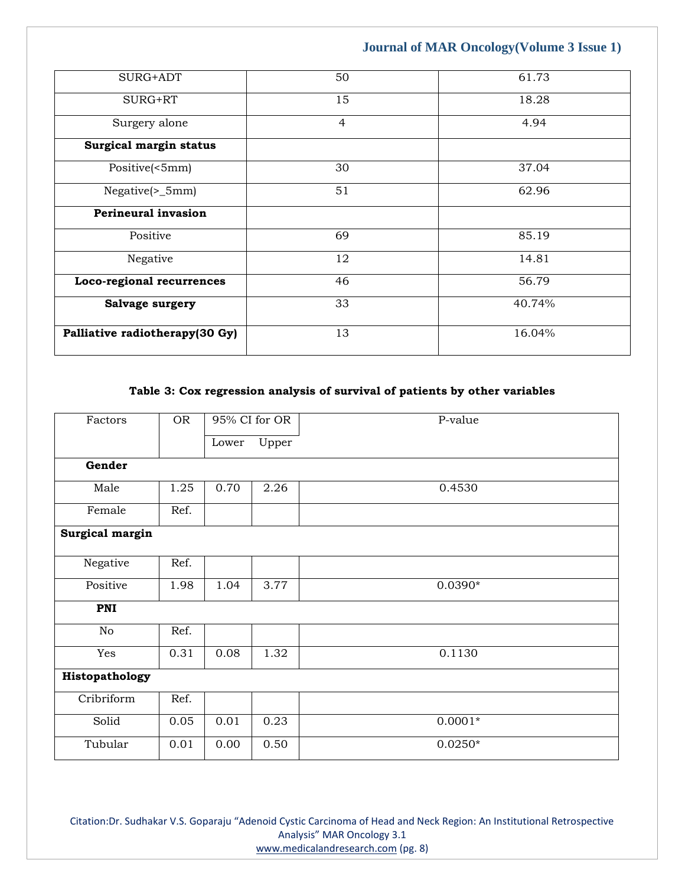| SURG+ADT                       | 50             | 61.73  |
|--------------------------------|----------------|--------|
| SURG+RT                        | 15             | 18.28  |
| Surgery alone                  | $\overline{4}$ | 4.94   |
| Surgical margin status         |                |        |
| Positive(<5mm)                 | 30             | 37.04  |
| $Negative(-5mm)$               | 51             | 62.96  |
| Perineural invasion            |                |        |
| Positive                       | 69             | 85.19  |
| Negative                       | 12             | 14.81  |
| Loco-regional recurrences      | 46             | 56.79  |
| Salvage surgery                | 33             | 40.74% |
| Palliative radiotherapy(30 Gy) | 13             | 16.04% |

#### **Table 3: Cox regression analysis of survival of patients by other variables**

| Factors         | <b>OR</b> | 95% CI for OR |       | P-value   |  |  |  |  |
|-----------------|-----------|---------------|-------|-----------|--|--|--|--|
|                 |           | Lower         | Upper |           |  |  |  |  |
| Gender          |           |               |       |           |  |  |  |  |
| Male            | 1.25      | 0.70          | 2.26  | 0.4530    |  |  |  |  |
| Female          | Ref.      |               |       |           |  |  |  |  |
| Surgical margin |           |               |       |           |  |  |  |  |
| Negative        | Ref.      |               |       |           |  |  |  |  |
| Positive        | 1.98      | 1.04          | 3.77  | $0.0390*$ |  |  |  |  |
| PNI             |           |               |       |           |  |  |  |  |
| $\rm No$        | Ref.      |               |       |           |  |  |  |  |
| Yes             | 0.31      | 0.08          | 1.32  | 0.1130    |  |  |  |  |
| Histopathology  |           |               |       |           |  |  |  |  |
| Cribriform      | Ref.      |               |       |           |  |  |  |  |
| Solid           | 0.05      | 0.01          | 0.23  | $0.0001*$ |  |  |  |  |
| Tubular         | 0.01      | 0.00          | 0.50  | $0.0250*$ |  |  |  |  |

Citation:Dr. Sudhakar V.S. Goparaju "Adenoid Cystic Carcinoma of Head and Neck Region: An Institutional Retrospective Analysis" MAR Oncology 3.1 [www.medicalandresearch.com](http://www.medicalandresearch.com/) (pg. 8)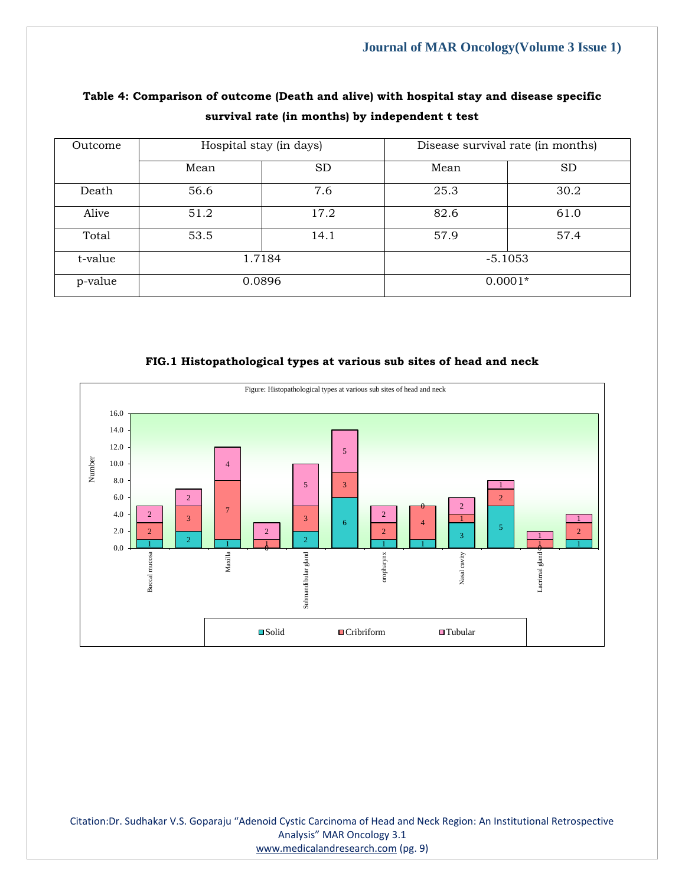| Outcome | Hospital stay (in days) |        | Disease survival rate (in months) |           |  |
|---------|-------------------------|--------|-----------------------------------|-----------|--|
|         | <b>SD</b><br>Mean       |        | Mean                              | <b>SD</b> |  |
| Death   | 56.6                    | 7.6    | 25.3                              | 30.2      |  |
| Alive   | 51.2                    | 17.2   | 82.6                              | 61.0      |  |
| Total   | 53.5                    | 14.1   | 57.9                              | 57.4      |  |
| t-value | 1.7184                  |        | $-5.1053$                         |           |  |
| p-value |                         | 0.0896 | $0.0001*$                         |           |  |

## **Table 4: Comparison of outcome (Death and alive) with hospital stay and disease specific survival rate (in months) by independent t test**

**FIG.1 Histopathological types at various sub sites of head and neck**



Citation:Dr. Sudhakar V.S. Goparaju "Adenoid Cystic Carcinoma of Head and Neck Region: An Institutional Retrospective Analysis" MAR Oncology 3.1 [www.medicalandresearch.com](http://www.medicalandresearch.com/) (pg. 9)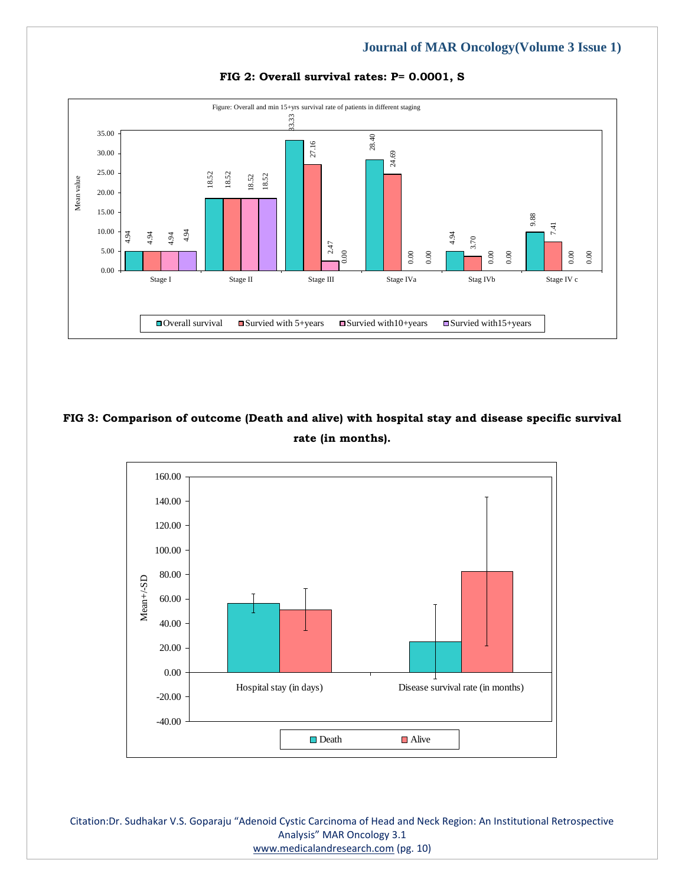

#### **FIG 2: Overall survival rates: P= 0.0001, S**

## **FIG 3: Comparison of outcome (Death and alive) with hospital stay and disease specific survival rate (in months).**



Citation:Dr. Sudhakar V.S. Goparaju "Adenoid Cystic Carcinoma of Head and Neck Region: An Institutional Retrospective Analysis" MAR Oncology 3.1 [www.medicalandresearch.com](http://www.medicalandresearch.com/) (pg. 10)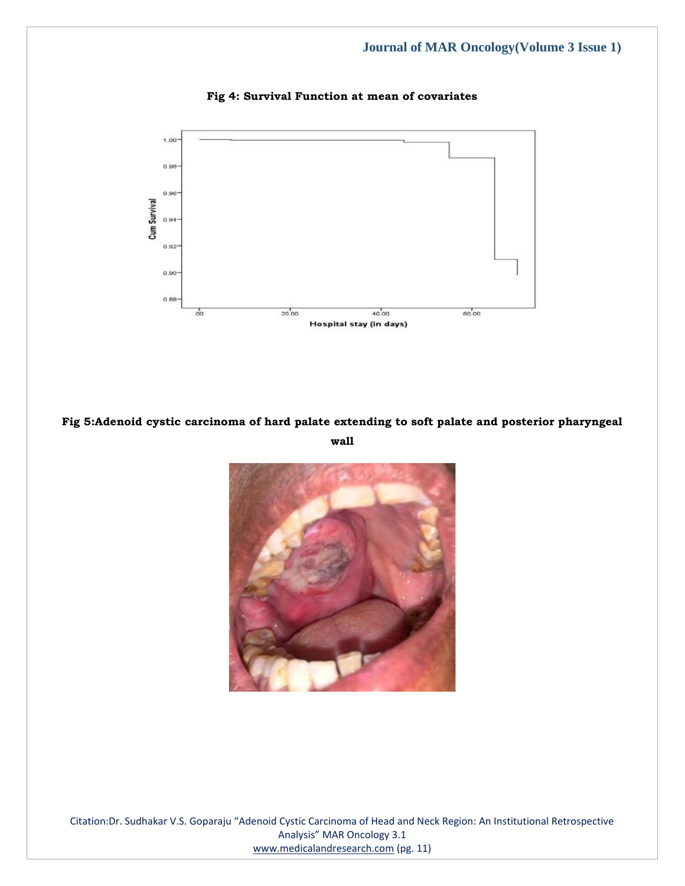

#### **Fig 4: Survival Function at mean of covariates**

**Fig 5:Adenoid cystic carcinoma of hard palate extending to soft palate and posterior pharyngeal wall**



Citation:Dr. Sudhakar V.S. Goparaju "Adenoid Cystic Carcinoma of Head and Neck Region: An Institutional Retrospective Analysis" MAR Oncology 3.1 [www.medicalandresearch.com](http://www.medicalandresearch.com/) (pg. 11)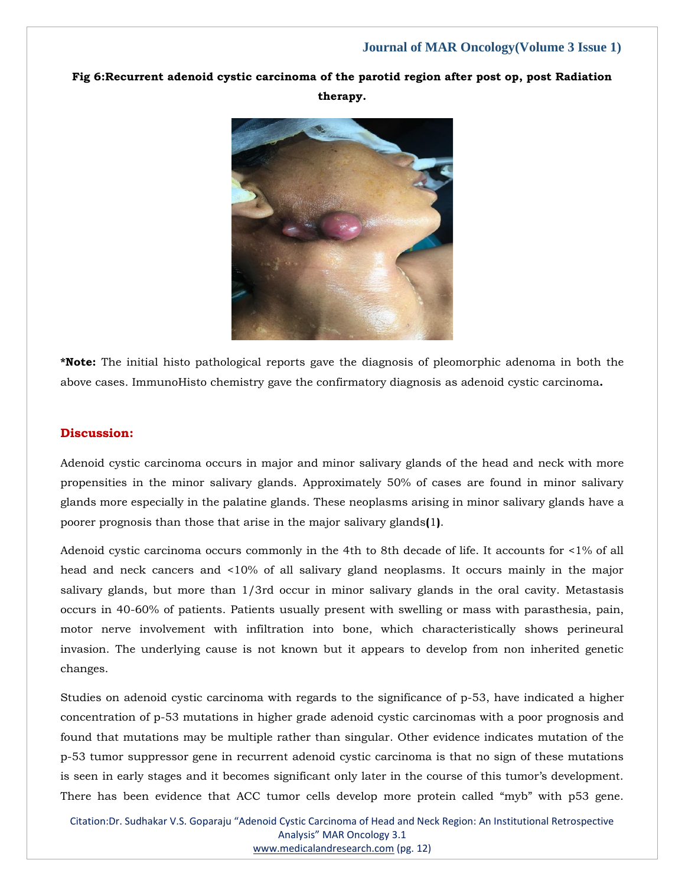## **Fig 6:Recurrent adenoid cystic carcinoma of the parotid region after post op, post Radiation therapy.**



**\*Note:** The initial histo pathological reports gave the diagnosis of pleomorphic adenoma in both the above cases. ImmunoHisto chemistry gave the confirmatory diagnosis as adenoid cystic carcinoma**.**

#### **Discussion:**

Adenoid cystic carcinoma occurs in major and minor salivary glands of the head and neck with more propensities in the minor salivary glands. Approximately 50% of cases are found in minor salivary glands more especially in the palatine glands. These neoplasms arising in minor salivary glands have a poorer prognosis than those that arise in the major salivary glands**(**1**)**.

Adenoid cystic carcinoma occurs commonly in the 4th to 8th decade of life. It accounts for <1% of all head and neck cancers and <10% of all salivary gland neoplasms. It occurs mainly in the major salivary glands, but more than 1/3rd occur in minor salivary glands in the oral cavity. Metastasis occurs in 40-60% of patients. Patients usually present with swelling or mass with parasthesia, pain, motor nerve involvement with infiltration into bone, which characteristically shows perineural invasion. The underlying cause is not known but it appears to develop from non inherited genetic changes.

Studies on adenoid cystic carcinoma with regards to the significance of p-53, have indicated a higher concentration of p-53 mutations in higher grade adenoid cystic carcinomas with a poor prognosis and found that mutations may be multiple rather than singular. Other evidence indicates mutation of the p-53 tumor suppressor gene in recurrent adenoid cystic carcinoma is that no sign of these mutations is seen in early stages and it becomes significant only later in the course of this tumor's development. There has been evidence that ACC tumor cells develop more protein called "myb" with p53 gene.

Citation:Dr. Sudhakar V.S. Goparaju "Adenoid Cystic Carcinoma of Head and Neck Region: An Institutional Retrospective Analysis" MAR Oncology 3.1 [www.medicalandresearch.com](http://www.medicalandresearch.com/) (pg. 12)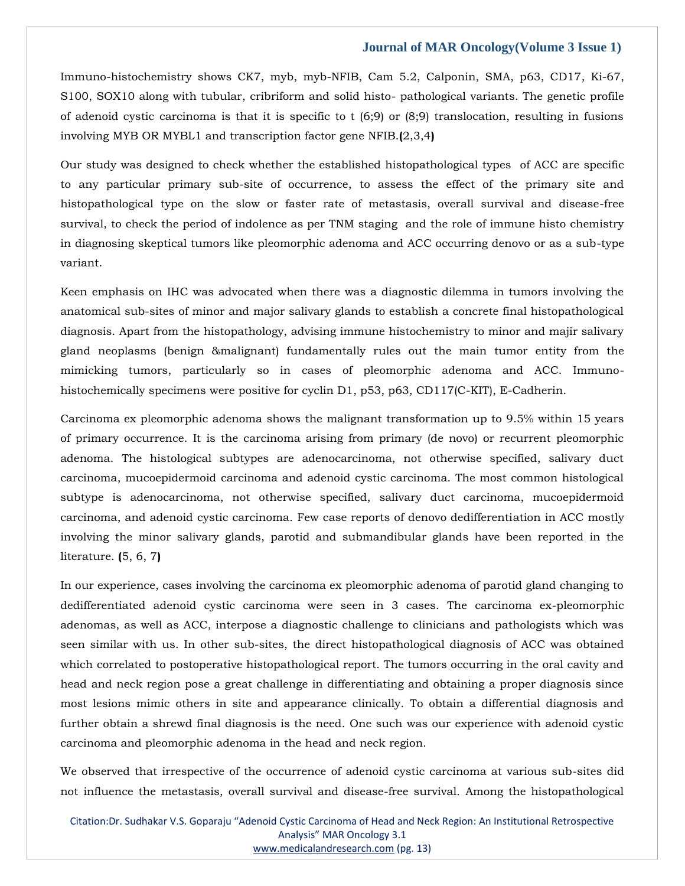Immuno-histochemistry shows CK7, myb, myb-NFIB, Cam 5.2, Calponin, SMA, p63, CD17, Ki-67, S100, SOX10 along with tubular, cribriform and solid histo- pathological variants. The genetic profile of adenoid cystic carcinoma is that it is specific to  $t$  (6;9) or (8;9) translocation, resulting in fusions involving MYB OR MYBL1 and transcription factor gene NFIB.**(**2,3,4**)**

Our study was designed to check whether the established histopathological types of ACC are specific to any particular primary sub-site of occurrence, to assess the effect of the primary site and histopathological type on the slow or faster rate of metastasis, overall survival and disease-free survival, to check the period of indolence as per TNM staging and the role of immune histo chemistry in diagnosing skeptical tumors like pleomorphic adenoma and ACC occurring denovo or as a sub-type variant.

Keen emphasis on IHC was advocated when there was a diagnostic dilemma in tumors involving the anatomical sub-sites of minor and major salivary glands to establish a concrete final histopathological diagnosis. Apart from the histopathology, advising immune histochemistry to minor and majir salivary gland neoplasms (benign &malignant) fundamentally rules out the main tumor entity from the mimicking tumors, particularly so in cases of pleomorphic adenoma and ACC. Immunohistochemically specimens were positive for cyclin D1, p53, p63, CD117(C-KIT), E-Cadherin.

Carcinoma ex pleomorphic adenoma shows the malignant transformation up to 9.5% within 15 years of primary occurrence. It is the carcinoma arising from primary (de novo) or recurrent pleomorphic adenoma. The histological subtypes are adenocarcinoma, not otherwise specified, salivary duct carcinoma, mucoepidermoid carcinoma and adenoid cystic carcinoma. The most common histological subtype is adenocarcinoma, not otherwise specified, salivary duct carcinoma, mucoepidermoid carcinoma, and adenoid cystic carcinoma. Few case reports of denovo dedifferentiation in ACC mostly involving the minor salivary glands, parotid and submandibular glands have been reported in the literature. **(**5, 6, 7**)**

In our experience, cases involving the carcinoma ex pleomorphic adenoma of parotid gland changing to dedifferentiated adenoid cystic carcinoma were seen in 3 cases. The carcinoma ex-pleomorphic adenomas, as well as ACC, interpose a diagnostic challenge to clinicians and pathologists which was seen similar with us. In other sub-sites, the direct histopathological diagnosis of ACC was obtained which correlated to postoperative histopathological report. The tumors occurring in the oral cavity and head and neck region pose a great challenge in differentiating and obtaining a proper diagnosis since most lesions mimic others in site and appearance clinically. To obtain a differential diagnosis and further obtain a shrewd final diagnosis is the need. One such was our experience with adenoid cystic carcinoma and pleomorphic adenoma in the head and neck region.

We observed that irrespective of the occurrence of adenoid cystic carcinoma at various sub-sites did not influence the metastasis, overall survival and disease-free survival. Among the histopathological

Citation:Dr. Sudhakar V.S. Goparaju "Adenoid Cystic Carcinoma of Head and Neck Region: An Institutional Retrospective Analysis" MAR Oncology 3.1 [www.medicalandresearch.com](http://www.medicalandresearch.com/) (pg. 13)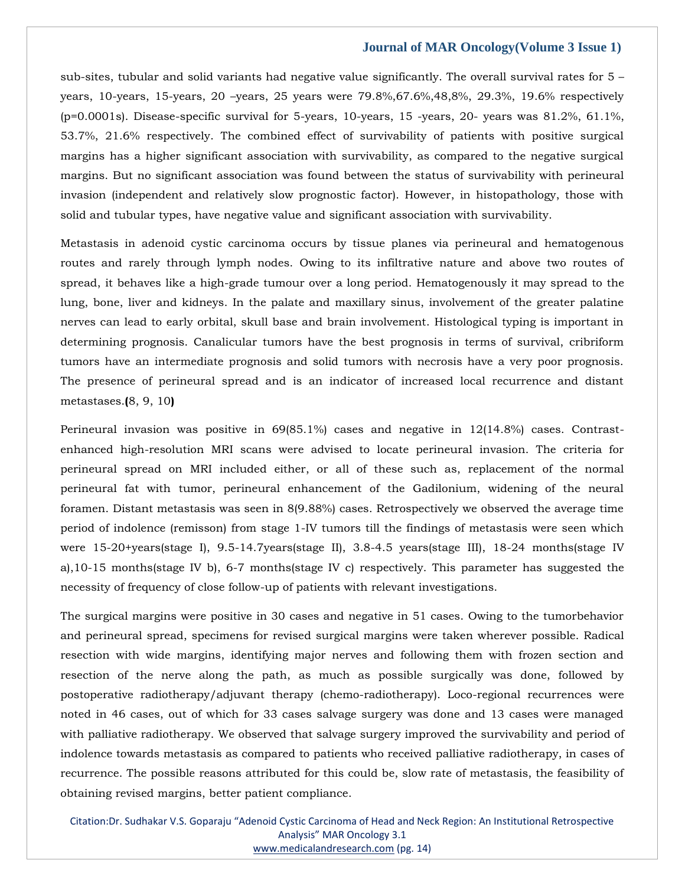sub-sites, tubular and solid variants had negative value significantly. The overall survival rates for 5 – years, 10-years, 15-years, 20 –years, 25 years were 79.8%,67.6%,48,8%, 29.3%, 19.6% respectively (p=0.0001s). Disease-specific survival for 5-years, 10-years, 15 -years, 20- years was 81.2%, 61.1%, 53.7%, 21.6% respectively. The combined effect of survivability of patients with positive surgical margins has a higher significant association with survivability, as compared to the negative surgical margins. But no significant association was found between the status of survivability with perineural invasion (independent and relatively slow prognostic factor). However, in histopathology, those with solid and tubular types, have negative value and significant association with survivability.

Metastasis in adenoid cystic carcinoma occurs by tissue planes via perineural and hematogenous routes and rarely through lymph nodes. Owing to its infiltrative nature and above two routes of spread, it behaves like a high-grade tumour over a long period. Hematogenously it may spread to the lung, bone, liver and kidneys. In the palate and maxillary sinus, involvement of the greater palatine nerves can lead to early orbital, skull base and brain involvement. Histological typing is important in determining prognosis. Canalicular tumors have the best prognosis in terms of survival, cribriform tumors have an intermediate prognosis and solid tumors with necrosis have a very poor prognosis. The presence of perineural spread and is an indicator of increased local recurrence and distant metastases.**(**8, 9, 10**)**

Perineural invasion was positive in 69(85.1%) cases and negative in 12(14.8%) cases. Contrastenhanced high-resolution MRI scans were advised to locate perineural invasion. The criteria for perineural spread on MRI included either, or all of these such as, replacement of the normal perineural fat with tumor, perineural enhancement of the Gadilonium, widening of the neural foramen. Distant metastasis was seen in 8(9.88%) cases. Retrospectively we observed the average time period of indolence (remisson) from stage 1-IV tumors till the findings of metastasis were seen which were 15-20+years(stage I), 9.5-14.7years(stage II), 3.8-4.5 years(stage III), 18-24 months(stage IV a),10-15 months(stage IV b), 6-7 months(stage IV c) respectively. This parameter has suggested the necessity of frequency of close follow-up of patients with relevant investigations.

The surgical margins were positive in 30 cases and negative in 51 cases. Owing to the tumorbehavior and perineural spread, specimens for revised surgical margins were taken wherever possible. Radical resection with wide margins, identifying major nerves and following them with frozen section and resection of the nerve along the path, as much as possible surgically was done, followed by postoperative radiotherapy/adjuvant therapy (chemo-radiotherapy). Loco-regional recurrences were noted in 46 cases, out of which for 33 cases salvage surgery was done and 13 cases were managed with palliative radiotherapy. We observed that salvage surgery improved the survivability and period of indolence towards metastasis as compared to patients who received palliative radiotherapy, in cases of recurrence. The possible reasons attributed for this could be, slow rate of metastasis, the feasibility of obtaining revised margins, better patient compliance.

Citation:Dr. Sudhakar V.S. Goparaju "Adenoid Cystic Carcinoma of Head and Neck Region: An Institutional Retrospective Analysis" MAR Oncology 3.1 [www.medicalandresearch.com](http://www.medicalandresearch.com/) (pg. 14)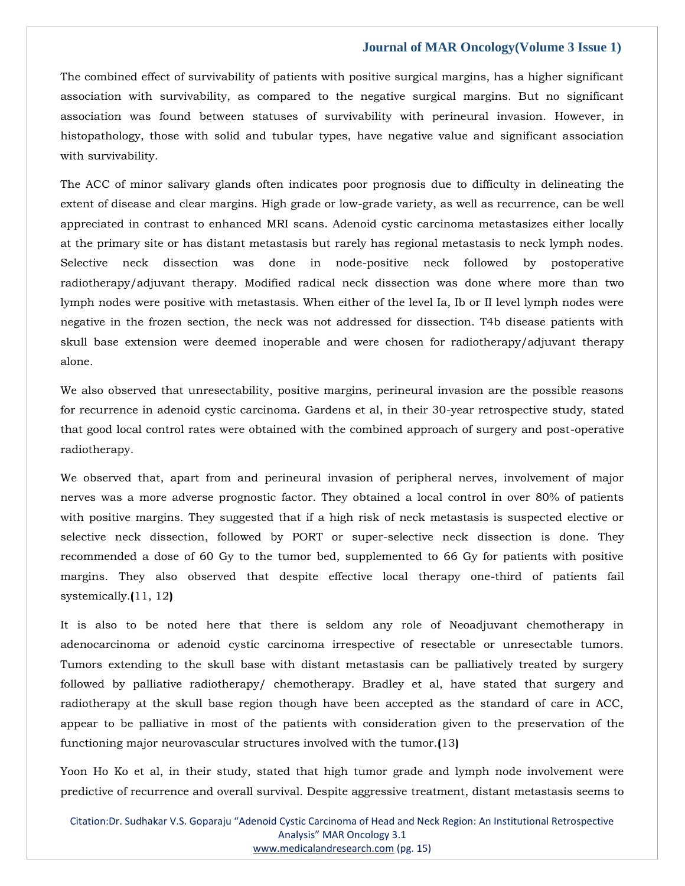The combined effect of survivability of patients with positive surgical margins, has a higher significant association with survivability, as compared to the negative surgical margins. But no significant association was found between statuses of survivability with perineural invasion. However, in histopathology, those with solid and tubular types, have negative value and significant association with survivability.

The ACC of minor salivary glands often indicates poor prognosis due to difficulty in delineating the extent of disease and clear margins. High grade or low-grade variety, as well as recurrence, can be well appreciated in contrast to enhanced MRI scans. Adenoid cystic carcinoma metastasizes either locally at the primary site or has distant metastasis but rarely has regional metastasis to neck lymph nodes. Selective neck dissection was done in node-positive neck followed by postoperative radiotherapy/adjuvant therapy. Modified radical neck dissection was done where more than two lymph nodes were positive with metastasis. When either of the level Ia, Ib or II level lymph nodes were negative in the frozen section, the neck was not addressed for dissection. T4b disease patients with skull base extension were deemed inoperable and were chosen for radiotherapy/adjuvant therapy alone.

We also observed that unresectability, positive margins, perineural invasion are the possible reasons for recurrence in adenoid cystic carcinoma. Gardens et al, in their 30-year retrospective study, stated that good local control rates were obtained with the combined approach of surgery and post-operative radiotherapy.

We observed that, apart from and perineural invasion of peripheral nerves, involvement of major nerves was a more adverse prognostic factor. They obtained a local control in over 80% of patients with positive margins. They suggested that if a high risk of neck metastasis is suspected elective or selective neck dissection, followed by PORT or super-selective neck dissection is done. They recommended a dose of 60 Gy to the tumor bed, supplemented to 66 Gy for patients with positive margins. They also observed that despite effective local therapy one-third of patients fail systemically.**(**11, 12**)**

It is also to be noted here that there is seldom any role of Neoadjuvant chemotherapy in adenocarcinoma or adenoid cystic carcinoma irrespective of resectable or unresectable tumors. Tumors extending to the skull base with distant metastasis can be palliatively treated by surgery followed by palliative radiotherapy/ chemotherapy. Bradley et al, have stated that surgery and radiotherapy at the skull base region though have been accepted as the standard of care in ACC, appear to be palliative in most of the patients with consideration given to the preservation of the functioning major neurovascular structures involved with the tumor.**(**13**)**

Yoon Ho Ko et al, in their study, stated that high tumor grade and lymph node involvement were predictive of recurrence and overall survival. Despite aggressive treatment, distant metastasis seems to

Citation:Dr. Sudhakar V.S. Goparaju "Adenoid Cystic Carcinoma of Head and Neck Region: An Institutional Retrospective Analysis" MAR Oncology 3.1 [www.medicalandresearch.com](http://www.medicalandresearch.com/) (pg. 15)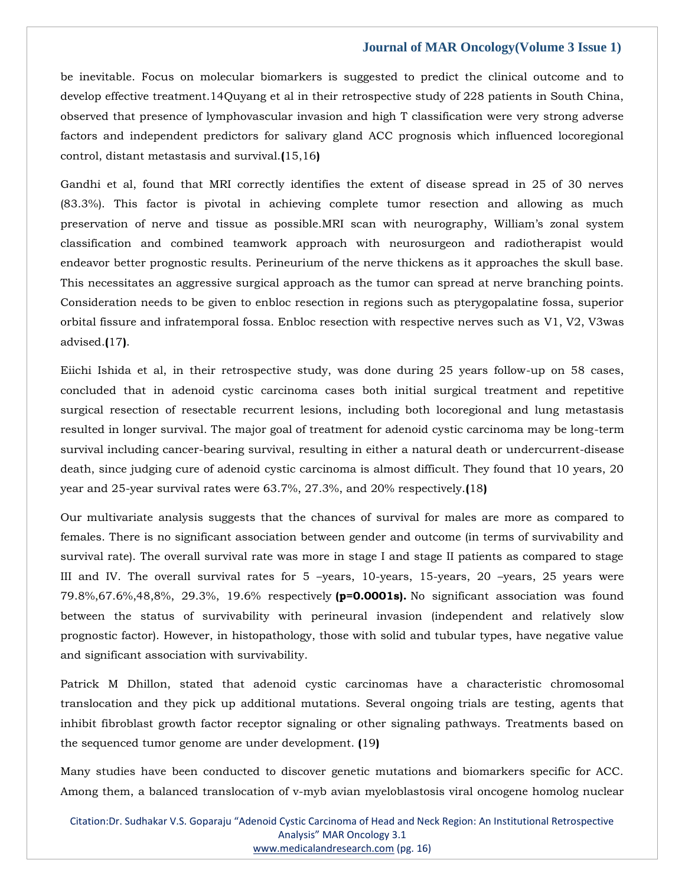be inevitable. Focus on molecular biomarkers is suggested to predict the clinical outcome and to develop effective treatment.14Quyang et al in their retrospective study of 228 patients in South China, observed that presence of lymphovascular invasion and high T classification were very strong adverse factors and independent predictors for salivary gland ACC prognosis which influenced locoregional control, distant metastasis and survival.**(**15,16**)**

Gandhi et al, found that MRI correctly identifies the extent of disease spread in 25 of 30 nerves (83.3%). This factor is pivotal in achieving complete tumor resection and allowing as much preservation of nerve and tissue as possible.MRI scan with neurography, William's zonal system classification and combined teamwork approach with neurosurgeon and radiotherapist would endeavor better prognostic results. Perineurium of the nerve thickens as it approaches the skull base. This necessitates an aggressive surgical approach as the tumor can spread at nerve branching points. Consideration needs to be given to enbloc resection in regions such as pterygopalatine fossa, superior orbital fissure and infratemporal fossa. Enbloc resection with respective nerves such as V1, V2, V3was advised.**(**17**)**.

Eiichi Ishida et al, in their retrospective study, was done during 25 years follow-up on 58 cases, concluded that in adenoid cystic carcinoma cases both initial surgical treatment and repetitive surgical resection of resectable recurrent lesions, including both locoregional and lung metastasis resulted in longer survival. The major goal of treatment for adenoid cystic carcinoma may be long-term survival including cancer-bearing survival, resulting in either a natural death or undercurrent-disease death, since judging cure of adenoid cystic carcinoma is almost difficult. They found that 10 years, 20 year and 25-year survival rates were 63.7%, 27.3%, and 20% respectively.**(**18**)**

Our multivariate analysis suggests that the chances of survival for males are more as compared to females. There is no significant association between gender and outcome (in terms of survivability and survival rate). The overall survival rate was more in stage I and stage II patients as compared to stage III and IV. The overall survival rates for 5 –years, 10-years, 15-years, 20 –years, 25 years were 79.8%,67.6%,48,8%, 29.3%, 19.6% respectively **(p=0.0001s).** No significant association was found between the status of survivability with perineural invasion (independent and relatively slow prognostic factor). However, in histopathology, those with solid and tubular types, have negative value and significant association with survivability.

Patrick M Dhillon, stated that adenoid cystic carcinomas have a characteristic chromosomal translocation and they pick up additional mutations. Several ongoing trials are testing, agents that inhibit fibroblast growth factor receptor signaling or other signaling pathways. Treatments based on the sequenced tumor genome are under development. **(**19**)**

Many studies have been conducted to discover genetic mutations and biomarkers specific for ACC. Among them, a balanced translocation of v-myb avian myeloblastosis viral oncogene homolog nuclear

Citation:Dr. Sudhakar V.S. Goparaju "Adenoid Cystic Carcinoma of Head and Neck Region: An Institutional Retrospective Analysis" MAR Oncology 3.1 [www.medicalandresearch.com](http://www.medicalandresearch.com/) (pg. 16)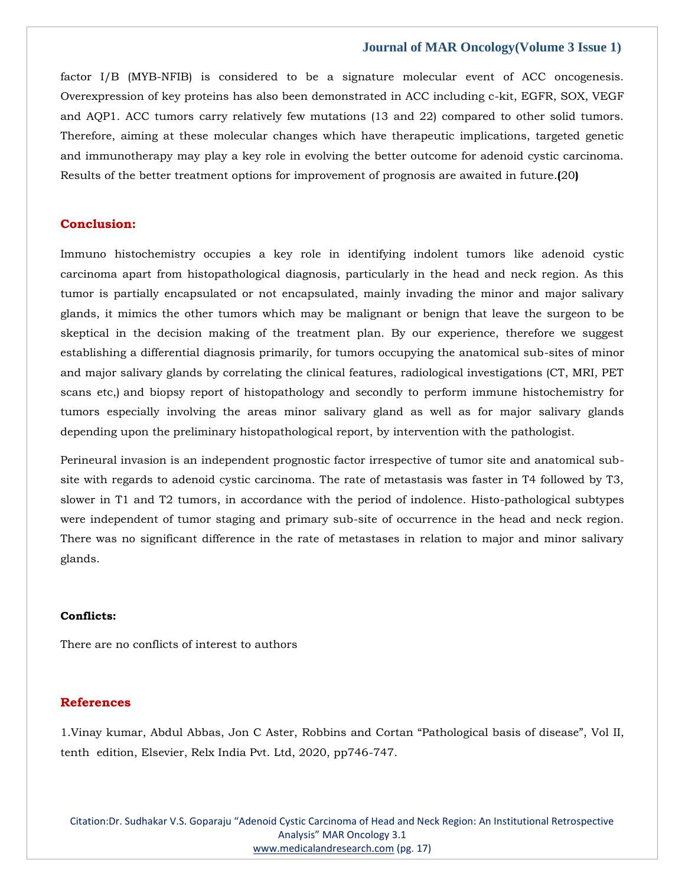factor I/B (MYB-NFIB) is considered to be a signature molecular event of ACC oncogenesis. Overexpression of key proteins has also been demonstrated in ACC including c-kit, EGFR, SOX, VEGF and AQP1. ACC tumors carry relatively few mutations (13 and 22) compared to other solid tumors. Therefore, aiming at these molecular changes which have therapeutic implications, targeted genetic and immunotherapy may play a key role in evolving the better outcome for adenoid cystic carcinoma. Results of the better treatment options for improvement of prognosis are awaited in future.**(**20**)**

#### **Conclusion:**

Immuno histochemistry occupies a key role in identifying indolent tumors like adenoid cystic carcinoma apart from histopathological diagnosis, particularly in the head and neck region. As this tumor is partially encapsulated or not encapsulated, mainly invading the minor and major salivary glands, it mimics the other tumors which may be malignant or benign that leave the surgeon to be skeptical in the decision making of the treatment plan. By our experience, therefore we suggest establishing a differential diagnosis primarily, for tumors occupying the anatomical sub-sites of minor and major salivary glands by correlating the clinical features, radiological investigations (CT, MRI, PET scans etc,) and biopsy report of histopathology and secondly to perform immune histochemistry for tumors especially involving the areas minor salivary gland as well as for major salivary glands depending upon the preliminary histopathological report, by intervention with the pathologist.

Perineural invasion is an independent prognostic factor irrespective of tumor site and anatomical subsite with regards to adenoid cystic carcinoma. The rate of metastasis was faster in T4 followed by T3, slower in T1 and T2 tumors, in accordance with the period of indolence. Histo-pathological subtypes were independent of tumor staging and primary sub-site of occurrence in the head and neck region. There was no significant difference in the rate of metastases in relation to major and minor salivary glands.

#### **Conflicts:**

There are no conflicts of interest to authors

#### **References**

1.[Vinay kumar, Abdul Abbas, Jon C Aster, Robbins and Cortan "Pathological basis of disease", Vol II,](https://www.google.com/search?q=pathological+basis+of+disease&oq=Pathological+basis+of+disease&aqs=chrome.0.0i355i512j46i512j0i512l2j0i22i30l6.427j0j7&sourceid=chrome&ie=UTF-8)  [tenth edition, Elsevier, Relx India Pvt. Ltd, 2020, pp746-747.](https://www.google.com/search?q=pathological+basis+of+disease&oq=Pathological+basis+of+disease&aqs=chrome.0.0i355i512j46i512j0i512l2j0i22i30l6.427j0j7&sourceid=chrome&ie=UTF-8)

Citation:Dr. Sudhakar V.S. Goparaju "Adenoid Cystic Carcinoma of Head and Neck Region: An Institutional Retrospective Analysis" MAR Oncology 3.1 [www.medicalandresearch.com](http://www.medicalandresearch.com/) (pg. 17)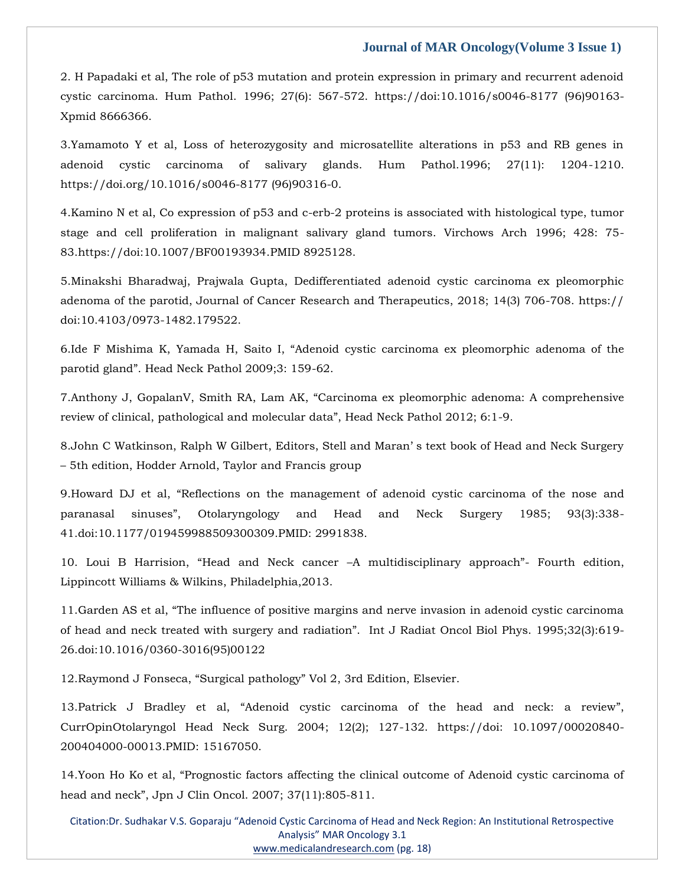2. H Papadaki et al, The role of p53 mutation and protein expression in primary and recurrent adenoid cystic carcinoma. Hum Pathol. 1996; 27(6): 567-572. https://doi:10.1016/s0046-8177 (96)90163- Xpmid 8666366.

3.Yamamoto Y et al, Loss of heterozygosity and microsatellite alterations in p53 and RB genes in adenoid cystic carcinoma of salivary glands. Hum Pathol.1996; 27(11): 1204-1210. https://doi.org/10.1016/s0046-8177 (96)90316-0.

4.Kamino N et al, Co expression of p53 and c-erb-2 proteins is associated with histological type, tumor stage and cell proliferation in malignant salivary gland tumors. Virchows Arch 1996; 428: 75- 83.https://doi:10.1007/BF00193934.PMID 8925128.

5.Minakshi Bharadwaj, Prajwala Gupta, Dedifferentiated adenoid cystic carcinoma ex pleomorphic adenoma of the parotid, Journal of Cancer Research and Therapeutics, 2018; 14(3) 706-708. https:// doi:10.4103/0973-1482.179522.

6.[Ide F Mishima K, Yamada H, Saito I, "Adenoid cystic carcinoma ex pleomorphic](https://www.google.com/search?q=Adenoid+cystic+carcinoma+ex+pleomorphic+adenoma+of+the+parotid+gland&sxsrf=AOaemvIWL13RndsSWOjnezIIpNifhdsNEQ%3A1638444882747&ei=Uq-oYdH_LLWaseMPwqmFkAU&ved=0ahUKEwjR8ODpgsX0AhU1TWwGHcJUAVIQ4dUDCA4&uact=5&oq=Adenoid+cystic+carcinoma+ex+pleomorphic+adenoma+of+the+parotid+gland&gs_lcp=Cgdnd3Mtd2l6EAM6BwgjEOoCECdKBAhBGABKBAhGGABQmwVYmwVgiAhoAXACeACAAakBiAGpAZIBAzAuMZgBAKABAaABArABCsABAQ&sclient=gws-wiz) adenoma of the [parotid gland". Head Neck Pathol 2009;3: 159](https://www.google.com/search?q=Adenoid+cystic+carcinoma+ex+pleomorphic+adenoma+of+the+parotid+gland&sxsrf=AOaemvIWL13RndsSWOjnezIIpNifhdsNEQ%3A1638444882747&ei=Uq-oYdH_LLWaseMPwqmFkAU&ved=0ahUKEwjR8ODpgsX0AhU1TWwGHcJUAVIQ4dUDCA4&uact=5&oq=Adenoid+cystic+carcinoma+ex+pleomorphic+adenoma+of+the+parotid+gland&gs_lcp=Cgdnd3Mtd2l6EAM6BwgjEOoCECdKBAhBGABKBAhGGABQmwVYmwVgiAhoAXACeACAAakBiAGpAZIBAzAuMZgBAKABAaABArABCsABAQ&sclient=gws-wiz)-62.

7.[Anthony J, GopalanV, Smith RA, Lam AK, "Carcinoma ex pleomorphic adenoma: A c](https://www.google.com/search?q=Carcinoma+ex+pleomorphic+adenoma%3A+A+comprehensive+review+of+clinical%2C+pathological+and+molecular+data&sxsrf=AOaemvLvQb8yWOnnZbMgQF7PXTgGev9v5A%3A1638444908270&ei=bK-oYb-BEOefseMP8qeUQA&ved=0ahUKEwi_5_b1gsX0AhXnT2wGHfITBQgQ4dUDCA4&uact=5&oq=Carcinoma+ex+pleomorphic+adenoma%3A+A+comprehensive+review+of+clinical%2C+pathological+and+molecular+data&gs_lcp=Cgdnd3Mtd2l6EAMyBwgjEOoCECcyBwgjEOoCECcyBwgjEOoCECcyBwgjEOoCECcyBwgjEOoCECcyBwgjEOoCECcyBwgjEOoCECcyBwgjEOoCECcyBwgjEOoCECcyBwgjEOoCECdKBAhBGABKBAhGGABQtwNYtwNg0QVoAXAAeACAAQCIAQCSAQCYAQCgAQGgAQKwAQrAAQE&sclient=gws-wiz)omprehensive [review of clinical, pathological and molecular data", Head Neck Pathol 2012; 6:1](https://www.google.com/search?q=Carcinoma+ex+pleomorphic+adenoma%3A+A+comprehensive+review+of+clinical%2C+pathological+and+molecular+data&sxsrf=AOaemvLvQb8yWOnnZbMgQF7PXTgGev9v5A%3A1638444908270&ei=bK-oYb-BEOefseMP8qeUQA&ved=0ahUKEwi_5_b1gsX0AhXnT2wGHfITBQgQ4dUDCA4&uact=5&oq=Carcinoma+ex+pleomorphic+adenoma%3A+A+comprehensive+review+of+clinical%2C+pathological+and+molecular+data&gs_lcp=Cgdnd3Mtd2l6EAMyBwgjEOoCECcyBwgjEOoCECcyBwgjEOoCECcyBwgjEOoCECcyBwgjEOoCECcyBwgjEOoCECcyBwgjEOoCECcyBwgjEOoCECcyBwgjEOoCECcyBwgjEOoCECdKBAhBGABKBAhGGABQtwNYtwNg0QVoAXAAeACAAQCIAQCSAQCYAQCgAQGgAQKwAQrAAQE&sclient=gws-wiz)-9.

8.[John C Watkinson, Ralph W Gilbert, Editors, Stell and Maran' s text book of Head and Neck Surgery](https://www.google.com/search?q=John+C+Watkinson%2C+Ralph+W+Gilbert%2C+Editors%2C+Stell+and+Maran%E2%80%99+s+text+book+of+Head+and+Neck+Surgery+%E2%80%93+5th+edition&sxsrf=AOaemvLNRu1e8aaSZ5AKS-e7zIylDCkjTA%3A1638444927907&ei=f6-oYZDzNp2UseMP4d2ygA0&ved=0ahUKEwjQrqX_gsX0AhUdSmwGHeGuDNAQ4dUDCA4&uact=5&oq=John+C+Watkinson%2C+Ralph+W+Gilbert%2C+Editors%2C+Stell+and+Maran%E2%80%99+s+text+book+of+Head+and+Neck+Surgery+%E2%80%93+5th+edition&gs_lcp=Cgdnd3Mtd2l6EAMyBwgjEOoCECcyBwgjEOoCECcyBwgjEOoCECcyBwgjEOoCECcyBwgjEOoCECcyBwgjEOoCECcyBwgjEOoCECcyBwgjEOoCECcyBwgjEOoCECcyBwgjEOoCECdKBAhBGABKBAhGGABQ8QVY8QVgsghoAXACeACAAQCIAQCSAQCYAQCgAQGgAQKwAQrAAQE&sclient=gws-wiz)  – [5th edition, Hodder Arnold, Taylor and Francis group](https://www.google.com/search?q=John+C+Watkinson%2C+Ralph+W+Gilbert%2C+Editors%2C+Stell+and+Maran%E2%80%99+s+text+book+of+Head+and+Neck+Surgery+%E2%80%93+5th+edition&sxsrf=AOaemvLNRu1e8aaSZ5AKS-e7zIylDCkjTA%3A1638444927907&ei=f6-oYZDzNp2UseMP4d2ygA0&ved=0ahUKEwjQrqX_gsX0AhUdSmwGHeGuDNAQ4dUDCA4&uact=5&oq=John+C+Watkinson%2C+Ralph+W+Gilbert%2C+Editors%2C+Stell+and+Maran%E2%80%99+s+text+book+of+Head+and+Neck+Surgery+%E2%80%93+5th+edition&gs_lcp=Cgdnd3Mtd2l6EAMyBwgjEOoCECcyBwgjEOoCECcyBwgjEOoCECcyBwgjEOoCECcyBwgjEOoCECcyBwgjEOoCECcyBwgjEOoCECcyBwgjEOoCECcyBwgjEOoCECcyBwgjEOoCECdKBAhBGABKBAhGGABQ8QVY8QVgsghoAXACeACAAQCIAQCSAQCYAQCgAQGgAQKwAQrAAQE&sclient=gws-wiz)

9.Howard DJ et al, "Reflections on the management of adenoid cystic carcinoma of the nose and paranasal sinuses", Otolaryngology and Head and Neck Surgery 1985; 93(3):338- 41.doi:10.1177/019459988509300309.PMID: 2991838.

10. Loui B Harrision, "Head and Neck cancer [–A multidisciplinary approach"](https://www.google.com/search?q=Head+and+Neck+cancer+%E2%80%93A+multidisciplinary+approach&sxsrf=AOaemvJVgYYDM3k3cZwVE3E5mZ0m62f1zw%3A1638444955105&ei=m6-oYa3lBceQseMPhZOnwAc&ved=0ahUKEwjtnqGMg8X0AhVHSGwGHYXJCXgQ4dUDCA4&uact=5&oq=Head+and+Neck+cancer+%E2%80%93A+multidisciplinary+approach&gs_lcp=Cgdnd3Mtd2l6EAMyBggAEBYQHjIGCAAQFhAeMgYIABAWEB4yBggAEBYQHjIGCAAQFhAeMgYIABAWEB46BwgjEOoCECdKBAhBGABKBAhGGABQ4QVY4QVg-AdoAXACeACAAa0BiAGtAZIBAzAuMZgBAKABAaABArABCsABAQ&sclient=gws-wiz)- Fourth edition, [Lippincott Williams & Wilkins, Philadelphia,2013.](https://www.google.com/search?q=Head+and+Neck+cancer+%E2%80%93A+multidisciplinary+approach&sxsrf=AOaemvJVgYYDM3k3cZwVE3E5mZ0m62f1zw%3A1638444955105&ei=m6-oYa3lBceQseMPhZOnwAc&ved=0ahUKEwjtnqGMg8X0AhVHSGwGHYXJCXgQ4dUDCA4&uact=5&oq=Head+and+Neck+cancer+%E2%80%93A+multidisciplinary+approach&gs_lcp=Cgdnd3Mtd2l6EAMyBggAEBYQHjIGCAAQFhAeMgYIABAWEB4yBggAEBYQHjIGCAAQFhAeMgYIABAWEB46BwgjEOoCECdKBAhBGABKBAhGGABQ4QVY4QVg-AdoAXACeACAAa0BiAGtAZIBAzAuMZgBAKABAaABArABCsABAQ&sclient=gws-wiz)

11.[Garden AS et al, "The influence of positive margins and nerve invasion in adenoid cystic carcinoma](https://www.google.com/search?q=The+influence+of+positive+margins+and+nerve+invasion+in+adenoid+cystic+carcinoma+of+head+and+neck+treated+with+surgery+and+radiation%E2%80%9D.++&sxsrf=AOaemvLBQkK6g5xzT9Q1Teew9rm3G0rVlA%3A1638444980543&ei=tK-oYdbKILKUseMPo9W6kAs&ved=0ahUKEwjW9LGYg8X0AhUySmwGHaOqDrIQ4dUDCA4&uact=5&oq=The+influence+of+positive+margins+and+nerve+invasion+in+adenoid+cystic+carcinoma+of+head+and+neck+treated+with+surgery+and+radiation%E2%80%9D.++&gs_lcp=Cgdnd3Mtd2l6EAMyBwgjEOoCECcyBwgjEOoCECcyBwgjEOoCECcyBwgjEOoCECcyBwgjEOoCECcyBwgjEOoCECcyBwgjEOoCECcyBwgjEOoCECcyBwgjEOoCECcyBwgjEOoCECdKBAhBGABKBAhGGABQ2gVY2gVglwhoAXACeACAAQCIAQCSAQCYAQCgAQGgAQKwAQrAAQE&sclient=gws-wiz)  [of head and neck treated with surgery and radiation". Int J Radiat Oncol Biol Phys. 1995;32\(3\):61](https://www.google.com/search?q=The+influence+of+positive+margins+and+nerve+invasion+in+adenoid+cystic+carcinoma+of+head+and+neck+treated+with+surgery+and+radiation%E2%80%9D.++&sxsrf=AOaemvLBQkK6g5xzT9Q1Teew9rm3G0rVlA%3A1638444980543&ei=tK-oYdbKILKUseMPo9W6kAs&ved=0ahUKEwjW9LGYg8X0AhUySmwGHaOqDrIQ4dUDCA4&uact=5&oq=The+influence+of+positive+margins+and+nerve+invasion+in+adenoid+cystic+carcinoma+of+head+and+neck+treated+with+surgery+and+radiation%E2%80%9D.++&gs_lcp=Cgdnd3Mtd2l6EAMyBwgjEOoCECcyBwgjEOoCECcyBwgjEOoCECcyBwgjEOoCECcyBwgjEOoCECcyBwgjEOoCECcyBwgjEOoCECcyBwgjEOoCECcyBwgjEOoCECcyBwgjEOoCECdKBAhBGABKBAhGGABQ2gVY2gVglwhoAXACeACAAQCIAQCSAQCYAQCgAQGgAQKwAQrAAQE&sclient=gws-wiz)9- [26.doi:10.1016/0360-3016\(95\)00122](https://www.google.com/search?q=The+influence+of+positive+margins+and+nerve+invasion+in+adenoid+cystic+carcinoma+of+head+and+neck+treated+with+surgery+and+radiation%E2%80%9D.++&sxsrf=AOaemvLBQkK6g5xzT9Q1Teew9rm3G0rVlA%3A1638444980543&ei=tK-oYdbKILKUseMPo9W6kAs&ved=0ahUKEwjW9LGYg8X0AhUySmwGHaOqDrIQ4dUDCA4&uact=5&oq=The+influence+of+positive+margins+and+nerve+invasion+in+adenoid+cystic+carcinoma+of+head+and+neck+treated+with+surgery+and+radiation%E2%80%9D.++&gs_lcp=Cgdnd3Mtd2l6EAMyBwgjEOoCECcyBwgjEOoCECcyBwgjEOoCECcyBwgjEOoCECcyBwgjEOoCECcyBwgjEOoCECcyBwgjEOoCECcyBwgjEOoCECcyBwgjEOoCECcyBwgjEOoCECdKBAhBGABKBAhGGABQ2gVY2gVglwhoAXACeACAAQCIAQCSAQCYAQCgAQGgAQKwAQrAAQE&sclient=gws-wiz)

12.[Raymond J Fonseca, "Surgical pathology" Vol 2, 3rd Edition, Elsevier.](https://www.google.com/search?q=Surgical+pathology%E2%80%9D+Vol+2%2C+3rd+Edition%2C+Elsevier.&sxsrf=AOaemvKBpL7P7qFtclfEfk9JCRqfUqv5Qg%3A1638445022279&ei=3q-oYdapEJufseMP0O2S2AY&ved=0ahUKEwjWkKWsg8X0AhWbT2wGHdC2BGsQ4dUDCA4&uact=5&oq=Surgical+pathology%E2%80%9D+Vol+2%2C+3rd+Edition%2C+Elsevier.&gs_lcp=Cgdnd3Mtd2l6EAMyBwgjEOoCECcyBwgjEOoCECcyBwgjEOoCECcyBwgjEOoCECcyBwgjEOoCECcyBwgjEOoCECcyBwgjEOoCECcyBwgjEOoCECcyBwgjEOoCECcyBwgjEOoCECc6BwgAEEcQsAM6BwgAELADEENKBQg8EgExSgQIQRgASgQIRhgAUL8SWL8SYNsUaAJwAngAgAEAiAEAkgEAmAEAoAEBoAECsAEKyAEKwAEB&sclient=gws-wiz)

13.Patrick J Bradley et al, "Adenoid cystic carcinoma of the head and neck: a review", CurrOpinOtolaryngol Head Neck Surg. 2004; 12(2); 127-132. https://doi: 10.1097/00020840- 200404000-00013.PMID: 15167050.

14.[Yoon Ho Ko et al, "Prognostic factors affecting the clinical outcome of Adenoid cystic carcinoma of](https://www.google.com/search?q=Prognostic+factors+affecting+the+clinical+outcome+of+Adenoid+cystic+carcinoma+of+head+and+neck&sxsrf=AOaemvIqAYoX790iZUB6gDagA0uwSJgbuQ%3A1638445035111&ei=66-oYffqBcCSseMPxYO7mAQ&ved=0ahUKEwi3jLSyg8X0AhVASWwGHcXBDkMQ4dUDCA4&uact=5&oq=Prognostic+factors+affecting+the+clinical+outcome+of+Adenoid+cystic+carcinoma+of+head+and+neck&gs_lcp=Cgdnd3Mtd2l6EAM6BwgjEOoCECdKBAhBGABKBAhGGABQ9gVY9gVgpAhoAXACeACAAcwBiAHMAZIBAzItMZgBAKABAaABArABCsABAQ&sclient=gws-wiz)  [head and neck", Jpn J Clin Oncol. 2007;](https://www.google.com/search?q=Prognostic+factors+affecting+the+clinical+outcome+of+Adenoid+cystic+carcinoma+of+head+and+neck&sxsrf=AOaemvIqAYoX790iZUB6gDagA0uwSJgbuQ%3A1638445035111&ei=66-oYffqBcCSseMPxYO7mAQ&ved=0ahUKEwi3jLSyg8X0AhVASWwGHcXBDkMQ4dUDCA4&uact=5&oq=Prognostic+factors+affecting+the+clinical+outcome+of+Adenoid+cystic+carcinoma+of+head+and+neck&gs_lcp=Cgdnd3Mtd2l6EAM6BwgjEOoCECdKBAhBGABKBAhGGABQ9gVY9gVgpAhoAXACeACAAcwBiAHMAZIBAzItMZgBAKABAaABArABCsABAQ&sclient=gws-wiz) 37(11):805-811.

Citation:Dr. Sudhakar V.S. Goparaju "Adenoid Cystic Carcinoma of Head and Neck Region: An Institutional Retrospective Analysis" MAR Oncology 3.1 [www.medicalandresearch.com](http://www.medicalandresearch.com/) (pg. 18)